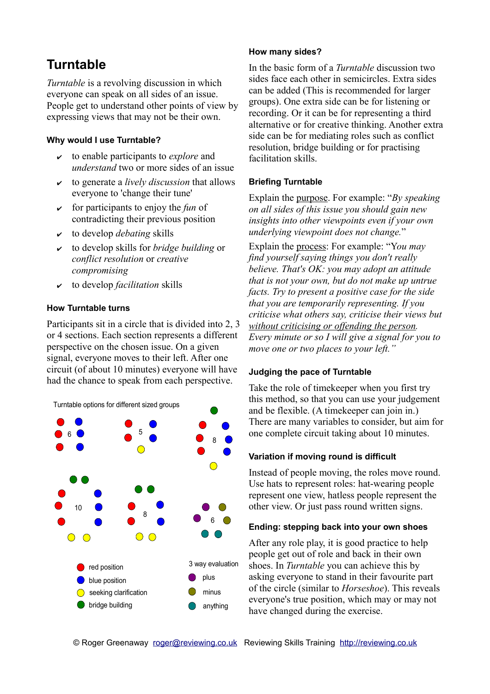## **Turntable**

*Turntable* is a revolving discussion in which everyone can speak on all sides of an issue. People get to understand other points of view by expressing views that may not be their own.

### **Why would I use Turntable?**

- ✔ to enable participants to *explore* and *understand* two or more sides of an issue
- ✔ to generate a *lively discussion* that allows everyone to 'change their tune'
- $\vee$  for participants to enjoy the *fun* of contradicting their previous position
- ✔ to develop *debating* skills
- ✔ to develop skills for *bridge building* or *conflict resolution* or *creative compromising*
- ✔ to develop *facilitation* skills

### **How Turntable turns**

Participants sit in a circle that is divided into 2, 3 or 4 sections. Each section represents a different perspective on the chosen issue. On a given signal, everyone moves to their left. After one circuit (of about 10 minutes) everyone will have had the chance to speak from each perspective.



### **How many sides?**

In the basic form of a *Turntable* discussion two sides face each other in semicircles. Extra sides can be added (This is recommended for larger groups). One extra side can be for listening or recording. Or it can be for representing a third alternative or for creative thinking. Another extra side can be for mediating roles such as conflict resolution, bridge building or for practising facilitation skills.

### **Briefing Turntable**

Explain the purpose. For example: "*By speaking on all sides of this issue you should gain new insights into other viewpoints even if your own underlying viewpoint does not change.*"

Explain the process: For example: "Y*ou may find yourself saying things you don't really believe. That's OK: you may adopt an attitude that is not your own, but do not make up untrue facts. Try to present a positive case for the side that you are temporarily representing. If you criticise what others say, criticise their views but without criticising or offending the person. Every minute or so I will give a signal for you to move one or two places to your left."*

### **Judging the pace of Turntable**

Take the role of timekeeper when you first try this method, so that you can use your judgement and be flexible. (A timekeeper can join in.) There are many variables to consider, but aim for one complete circuit taking about 10 minutes.

### **Variation if moving round is difficult**

Instead of people moving, the roles move round. Use hats to represent roles: hat-wearing people represent one view, hatless people represent the other view. Or just pass round written signs.

### **Ending: stepping back into your own shoes**

After any role play, it is good practice to help people get out of role and back in their own shoes. In *Turntable* you can achieve this by asking everyone to stand in their favourite part of the circle (similar to *Horseshoe*). This reveals everyone's true position, which may or may not have changed during the exercise.

© Roger Greenaway [roger@reviewing.co.uk](mailto:roger@reviewing.co.uk) Reviewing Skills Training [http://reviewing.co.uk](http://reviewing.co.uk/)